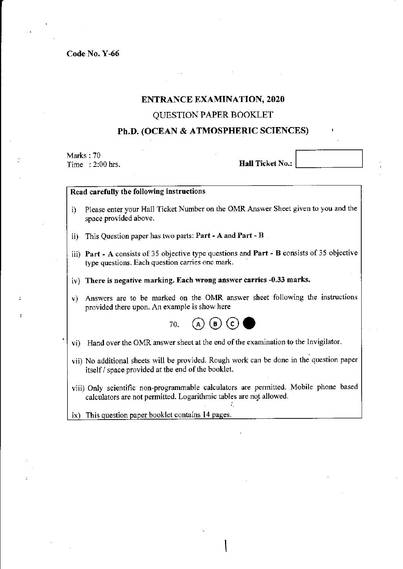## ENTRANCE EXAMINATION, 2020

## QUESTION PAPER BOOKLET

# ph.D. (ocEAN & ATMOSPHERIC SCIENCES)

Marks : 70 Time : 2:00 hrs.

Hall Ticket No.:

### Read carefully the following instructions

- i) Please enter your Hall Ticket Number on the OMR Answer Sheet given to you and the space provided above.
- ii) This Question paper has two parts:  $Part A$  and  $Part B$
- iii) Part A consists of 35 objective type questions ard Parf B consists of 35 objective type questions. Each question carries one mark.
- iv) There is negative marking. Each wrong answer carries -0.33 marks.
- v) Answers are to be marked on the OMR answer sheet following the instructions provided there upon. An example is show here



- vi) Hand over the OMR answer sheet at the end of the examination to the Invigilator.
- vii) No additional sheets will be provided. Rough work can be done in the question paper itself / space provided at the end of the booklet.
- viii) Only scientific non-programmable calculators are permitted. Mobile phone based calculators are not permitted. Logarithmic tables are not allowed.

ix) This question paper booklet contains 14 pages.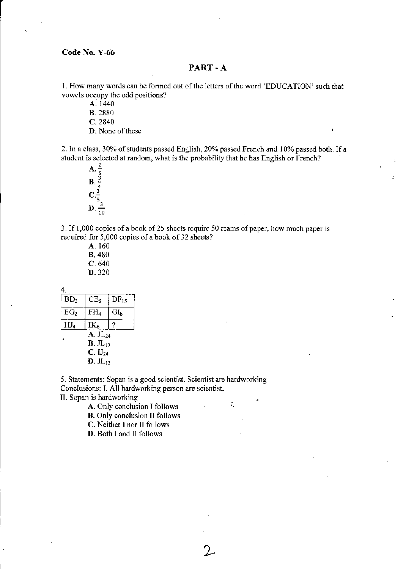## PART - A

I. How many words can be formed out of the letters of the word 'EDUCATION' such that vowels occupy the odd positions?

A. 1440

B. 2880

c.2840

D. None of these

2. In a class, 30% of students passed English, 20% passed French and 10% passed both. If a student is selected at random, what is the probability that he has English or French?<br>A.  $\frac{2}{5}$ 

 $B. \frac{3}{4}$  $\overline{c}$ **D**.  $\frac{3}{10}$ 

3. If 1,000 copies of a book of 25 sheets require 50 reams of paper, how much paper is required for 5,000 copies of a book of 32 sheets?

 $\mathcal{L}_\mathrm{c}$ 

A. 160 B. 480 c.640 D. 320

4.

| BD <sub>3</sub>                                    | CE,             | DF <sub>15</sub> |
|----------------------------------------------------|-----------------|------------------|
| EG <sub>2</sub>                                    | FH <sub>4</sub> | $GL_8$           |
| HJ <sub>4</sub>                                    | $IK_6$          | ?                |
| $A. JL_{24}$<br>$\mathbf{B}$ . J $\mathbf{L}_{10}$ |                 |                  |
| C. IJ <sub>24</sub>                                |                 |                  |
| $D. JL_{12}$                                       |                 |                  |

5. Statements: Sopan is a good scientist. Scientist are hardworking Conclusions: I. All hardworking person are scientist.

II. Sopan is hardworking

A. Only conclusion I follows

B. Only conclusion II follows

C. Neither I nor lI follows

D. Both I and II follows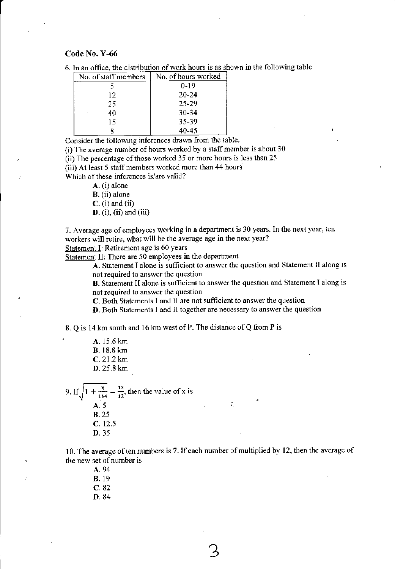| 6. In an office, the distribution of work hours is as shown in the following table |
|------------------------------------------------------------------------------------|
|------------------------------------------------------------------------------------|

| No. of staff members | No. of hours worked |
|----------------------|---------------------|
|                      | $0 - 19$            |
| 12.                  | $20 - 24$           |
| 25                   | 25-29               |
| 40                   | $30 - 34$           |
| 15                   | 35-39               |
|                      | 40-45               |

Consider the following inferences drawn from the table.

(i) The avemge number of hours worked by a staff member is about 30

(ii) The percentage of those worked 35 or more hours is less than 25

(iii) At least 5 staff members worked more than 44 hours

Which of these inferences is/are valid?

A. (i) alone

B. (ii) alone

 $C.$  (i) and (ii)

D. (i), (ii) and (iii)

7. Average age of employees working in a department is 30 years. In the next year, ten workers will retire, what will be the average age in the next year?

Statement I: Retirement age is 60 years

Statement  $II$ : There are 50 employees in the department

A. Statement I alone is sufficient to answer the question and Statement II along is not required to answer the question

B. Statement Il alone is sufficient to answer the question and Statement I along is not required to answer the question

 $C.$  Both Statements I and  $H$  are not sufficient to answer the question

D. Both Statements I and ll together are necessary to answer the question

8. Q is 14 km south and 16 km west of P. The distance of Q from P is

A. 15.6 km B. 18.8 km C.21.2 km D. 25.8 km

9. If  $\sqrt{1 + \frac{x}{144}} = \frac{13}{12}$ , then the value of x is A.5 **B.** 25 C. 12.5 D.35

10. The average of ten numbers is 7. If each number of multiplied by 12, then the average of the new set of number is

A. 94 B. 19 c. 82

D. 84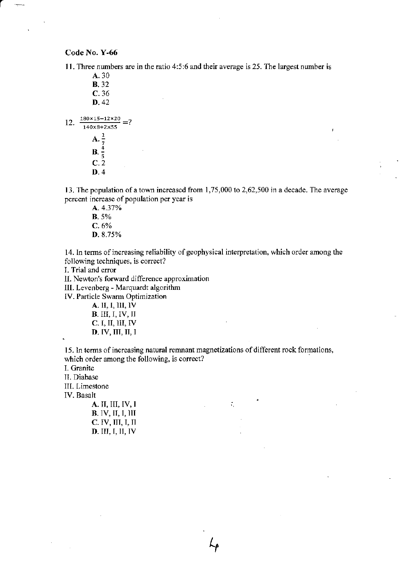لمحصوصة

11. Three numbers are in the ratio 4:5:6 and their average is 25. The largest number is

A.30 **B.** 32 c. 36 D. 42 12.  $\frac{180 \times 15 - 12 \times 20}{140 \times 10 + 12} = ?$  $\overline{140 \times 8 + 2 \times 55}$ A. **B**.  $\frac{4}{5}$ <br>**C**. 2  $D.4$ 

13. The population of a town increased from  $1,75,000$  to  $2,62,500$  in a decade. The average percent increase of population per year is

A. 4.37% B. 5%  $C. 6%$ D. 8.75%

14. In terms of increasing reliability of geophysical interpretation, which order among the following techniques, is correct?

I. Trial and error

lI. Newton's forward difference approximation

III. Levenberg - Marquardt algorithm

IV. Particle Swarm Optimization

A. II, I, III, IV B. III, I, IV, II  $C. I, II, III, IV$ D. IV, III, II, I

15. In terms of increasing natural remnant magnetizations of different rock formations, which order among the following, is correct?

 $\mathcal{L}_\mathrm{c}$ 

I. Granite

II. Diabase

III. Limestone

IV. Basalt

| A. II, III, IV, I |
|-------------------|
| B. IV, II, I, III |
| C. IV, III, I, II |
| D. III, I, II, IV |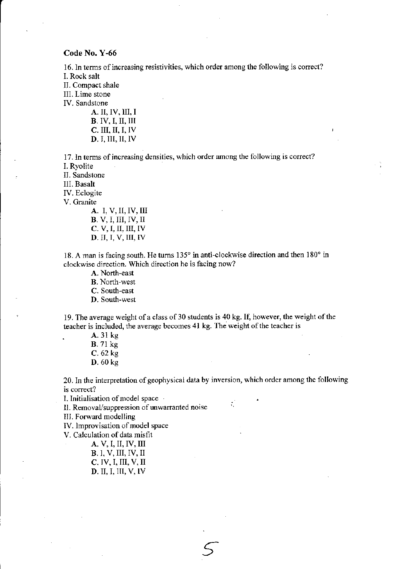16. In terms of increasing resistivities, which order among the following is correct? L Rock salt

II. Compact shale

lll. Lime stone

IV. Sandstone

A. II, IV, III, I **B**. IV, I, II, III<br>**C.** III, II, I, IV  $D$ . I, III, II, IV

17. ln terms of increasing densities, which order among the following is correct?

L Ryolite IT. Sandsrone

lll. Basalt

IV. Eclogite

v. Granite

**A**. I, V, II, IV, III<br>**B**. V, I, III, IV, II  $C. V, I, II, III, IV$ **D**. II, I, V, III, IV

18. A man is facing south. He turns 135° in anti-clockwise direction and then 180° in clockwise direction. wlich direction he is facing now?

A. North-east B. North-west

C. South-east

D. South-west

19. The average weight of a class of 30 students is 40 kg. If, however, the weight of the teacher is included, the average becomes 41 kg. The weight of the teacher is

. A.3l kg B. 71 kg  $C. 62 kg$ D. 60 kg

20. In the interpretation of geophysical data by inversion, which order among the following is correct?

÷.

I. Initialisation of model space

II. Removal/suppression of unwarranted noise

lII. Forward modelling

IV. Improvisation of model space

V. Calculation of data misfit

A.V,I,II,IV,III

**B.** I, V, III, IV, II C. IV, I, III, V, D. II.I. III. V. IV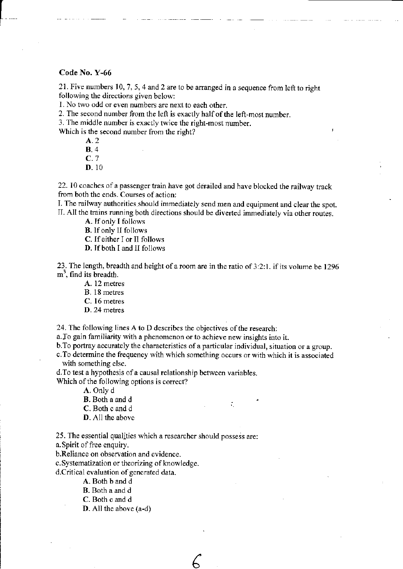21. Five numbers 10, 7, 5, 4 and 2 are to be arranged in a sequence from left to right following the directions given below:

l No two odd or even numbers are next to each other.

2. The second number from the left is exactly half of the left-most number.

3. The middle number is exactly twice the right-most number.

Which is the second number from the right?

4.2 B.4 C. 7 D. 10

22. 10 coaches of a passenger tain have got derailed and have blocked the railway track from both the ends. Courses of action:

I. The railway authorities should immediately send men and equipment and clearthe spot. IL AII the trains nnning both directions should be diverted immediately via other routes.

A. If only I follows

**B**. If only II follows

C. If either I or II follows

D. If both I and II follows

23. The length, breadth and height of a room are in the ratio of  $3:2:1$ . if its volume be 1296  $m<sup>3</sup>$ , find its breadth.

- A. 12 metres
- B. 18 metres
- C. 16 metres
- D.24 metres

24. The following lines A to D describes the objectives of the research:

a. To gain familiarity with a phenomenon or to achieve new insights into it.

b. To portray accurately the characteristics of a particular individual, situation or a group.

c.To determine the frequency with which something occurs or with which it is associated with something else.

÷.

d.To test a hypothesis of a causal relationship between variables.

Which of the following options is correct?

A. Only d

- B. Both a and d
- C. Both c and d
- D. All the above

25. The essential qualities which a researcher should possess are:

a.Spirit of fiee enquiry.

b.Reliance on observation and evidence.

c. Systematization or theorizing of knowledge.

d.Critical evaluation of generated data.

A. Both b and d

B. Both a and d

C. Both c and d

 $D.$  All the above  $(a-d)$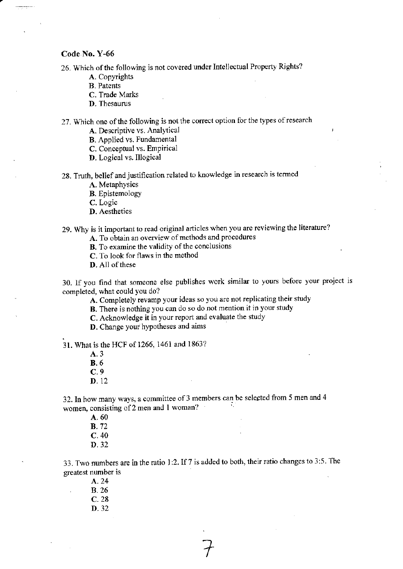26. Which of the following is not covered under Intellectual Property Rights?

- A. Copyrights
- B. Patents
- C. Trade Marks
- D. Thesaurus

27. Which one of the following is not the correct option for the types of research

- A. Descriptive vs. Analytical
- B. Applied vs. Fundamental
- C. Conceptual vs. Empirical
- D. Logical vs. Illogical

28. Truth, belief and justification related to knowledge in research is termed

- A. Metaphysics
- B. Epistemology

C. Logic

D. Aesthetics

29. Why is it important to read original articles when you are reviewing the literature?

- A. To obtain an overview of methods and procedures
- B. To examine the validity of the conclusions
- C. To look for flaws in the method
- D. All of these

30. lf you find tbat someone else publishes work similar to yours before your project lscompleted, what could You do?

A. Completely revamp your ideas so you are not replicating their study

- B. There is nothing you can do so do not mention it in your study
- C. Acknowledge it in your report and evaluate the study
- D. Change your hypotheses and aims

31. What is the HCF of 1266, 1461 and 1863?

A.3 B.6 c.9 D.12

32. In how many ways, a committee of 3 members can be selected from 5 men and 4 women, consisting of 2 men and 1 woman?

> A. 60 **B.** 72 c.40 D.32

33. Two numbers are in the ratio 1:2. If 7 is added to both, their ratio changes to 3:5. The greatest number is

A. 24 8.26 c.28 D.32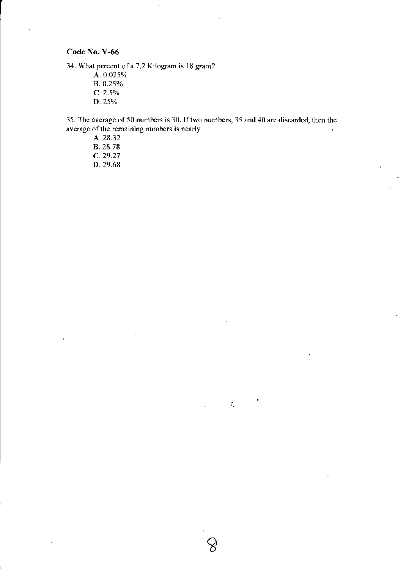34. What percent of a 7.2 Kilogram is l8 gram?

A.0.025Vo **B.** 0.25% c.2.5% D.25%

35. The average of50 numbers is 30. Iftwo numbers,35 and 40 are discarded, then the average of the remaining numbers is nearly  $\mathbf{I}$ 

 $\hat{\mathcal{L}}_i$ 

A. 28.32 8.28.78 c.29.27 D.29.68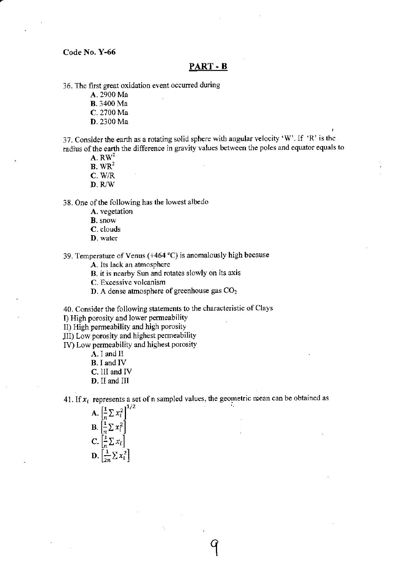## PART - B

36. The first great oxidation event occurred during

A. 2900 Ma

B. 3400 Ma

C. 2700 Ma

D.2300 Ma

37. Consider the earth as a rotating solid sphere with angular velocity 'W'. If 'R' is the radius of the earth the difference in gravity values between the poles and equator equals to

 $A. RW<sup>2</sup>$ 

 $B. WR<sup>2</sup>$ 

c.wR

 $D. R/W$ 

38. One of the following has the lowest albedo

- A. vegetation
- B. snow
- C. clouds
- D. water

39. Temperature of Venus (+464  $^{\circ}$ C) is anomalously high because

A. Its lack an atmosphere

B. it is nearby Sun and rotates slowly on its axis

C. Excessive volcanism

 $D$ . A dense atmosphere of greenhouse gas  $CO<sub>2</sub>$ 

40. Consider the following statements to the characteristic of Clays

I) High porosity and lower permeability

II) High permeability and high porosity

Jll) Low porosity and highest permeability

IV) Low permeability and highest porosity

A. i and ll

B. I and IV

- C. lll and IV
- D. lI and III

41. If  $x_i$  represents a set of n sampled values, the geometric mean can be obtained as

I

| $\frac{1}{n} \sum x_i^2$                         |  |
|--------------------------------------------------|--|
| $\left \frac{1}{n}\sum x_i^2\right $<br>$\bf{B}$ |  |
| $\frac{1}{n} \sum x_i$                           |  |
| $\frac{1}{2n} \sum x_i^2$                        |  |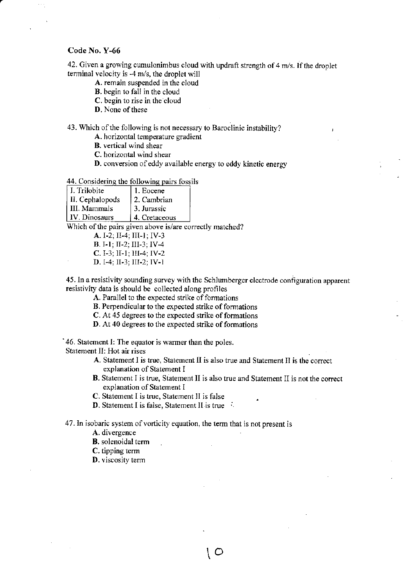42. Given a growing cumulonimbus cloud with updraft strength of 4 m/s. If the droplet terminal velocity is -4 m/s, the droplet will

- A. remain suspended in the cloud
- B. begin to fall in the cloud
- C. begin to rise in the cloud
- D. None of these

### 43. Which of the following is not necessary to Baroclinic instability?

A. horizontal temperature gradient

B. vertical wind shear

C. horizontal wind shear

D. conversion of eddy available energy to eddy kinetic energy

### 44. Considering the following pairs fossils

| I. Trilobite    | 1. Eocene     |
|-----------------|---------------|
| II. Cephalopods | 2. Cambrian   |
| l III. Mammals  | 3. Jurassic   |
| IV. Dinosaurs   | 4. Cretaceous |

Which of the pairs given above is/are correctly matched?

A. I-2; II-4; III-I; IV-3 B. I-l; II-2; III-3; IV-4

- C.I-3; lI-1; III-4; IV-2
- D. I-4; II-3; III-2; IV-l

45. In a resistivity sounding survey with the Schlumberger electrode configuration apparent resistiviry data is should be collected along profiles

A. Parallel to the expected strike of formations

- B. Perpendicular to the expected strike of formations
- C. At 45 degrees to the expected strike of formations
- D. At 40 degrees to the expected strike of formations

'46. Statement I: The equator is wamer than the poles.

Statement II: Hot air rises

- A. Statement I is true, Statement II is also true and Statement II is the correct explanation of Statement I
- B. Statement I is true, Statement II is also true and Statement II is not the correct explanation of Statement I

 $\circ$ 

C. Statement I is true, Slatement II is false

**D.** Statement I is false, Statement II is true

47. In isobaric system of vorticity equation, the term that is not present is

A. divergence

**B**. solenoidal term

C. tipping term

D. viscosity term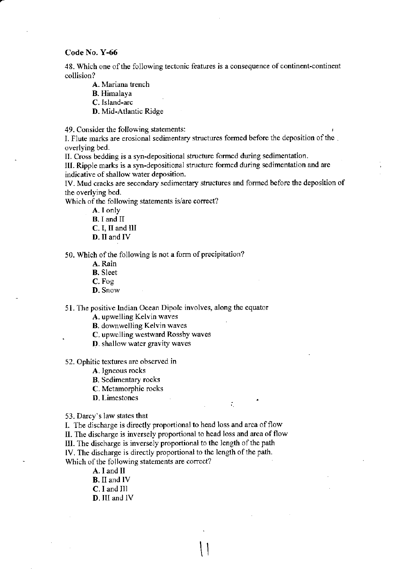48. Which one of the following tectonic features is a consequence of continent-continent collision?

A. Mariana trench

B. Himalaya

C.Island-arc

D. Mid-Atlantic Ridge

49. Consider the following statements:

I. Flute marks are erosional sedimentary structures formed before the deposition of the overlying bed.

IL Cross bedding is a syn-depositional structure formed during sedimentation.

III. Ripple marks is a syn-depositional structure formed during sedimentation and are indicative of shallow water deposition.

IV. Mud cracks are secondary sedimentary structures and formed before the deposition of the overlying bed.

Which of the following statements is/are correct?

A. I only

B. I and II

C. I, II and lll

D. lI and IV

50. Which of the following is not a form of precipitation?

A. Rain

B. Sleet

C. Fog

D. Snow

51. The positive Indian Ocean Dipole involves, along the equator

A. upwelling Kelvin waves

B. downwelling Kelvin waves

C. upwelling westward Rossby waves

D. shallow water gravity waves

52. Ophitic textures are observed in

A. Igneous rocks

B. Sedimentary rocks

C. Metamorphic rocks

**D.** Limestones  $\therefore$ 

53. Darcy's law states that

I. The discharge is directly proportional to head loss and area of flow

II. The discharge is inversely proportional to head loss and area of flow

 $\vert \vert$ 

III. The discharge is inversely proportional to the length of the path

IV. The discharge is directly proportional to the length of the path.

Which of the following statements are correct?

A. I and Il B. II and lV C.I and III D. III and lV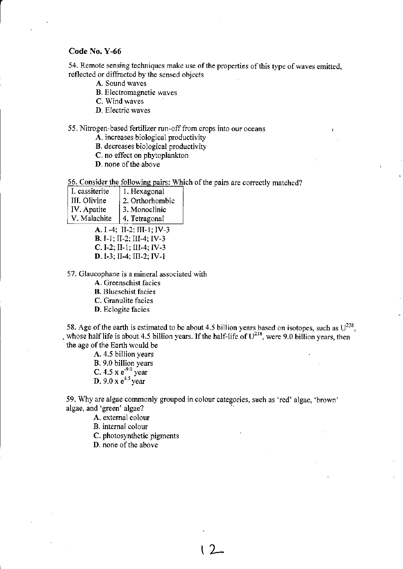54. Remote sensing techniques make use of the properties of this type of waves emitted, reflected or diffracted by the sensed objects

- A. Sound waves
- B. Electromagnetic waves

C. Wind waves

D. Electric waves

## 55. Nitrogen-based fertilizer run-off from crops into our oceans

A. jncreases biological productivity

- B. decreases biological productivity
- C. no effect on phytoplankton
- D. none of the above

56. Consider the following pairs: Which of the pairs are correctly matched?

| I. cassiterite | 1. Hexagonal    |
|----------------|-----------------|
| III. Olivine   | 2. Orthorhombic |
| IV. Apatite    | 3. Monoclinic   |
| V. Malachite   | 4. Tetragonal   |

A. I -4; II-2; III-I; IV-3 B. I-l; II-2: Ill-4; lV-3 C.I-2: II-1; Ill-4; IV-3 D.I-3; II-4; III-2: IV-l

57. Glaucophane is a mineral associated with

A. Greenschist facies

B. Blueschist facies

C. Granulite facies

D. Eclogite facies

58. Age of the earth is estimated to be about 4.5 billion years based on isotopes, such as  $U^{238}$ , , whose half life is about 4.5 billion years. If the half-life of  $U^{238}$ , were 9.0 billion years, then the age of the Earth would be

> A. 4.5 billion years B. 9.0 billion vears C. 4.5 x  $e^{-9.0}$  year **D**. 9.0 x  $e^{4.5}$  year

59. Why are algae commonly grouped in colour categories, such as 'red' algae, 'browr' algae, and'green' algae?

 $\sqrt{2}$ 

A. external colour

B. internal colour

C. photosynthetic pigments

D. none of the above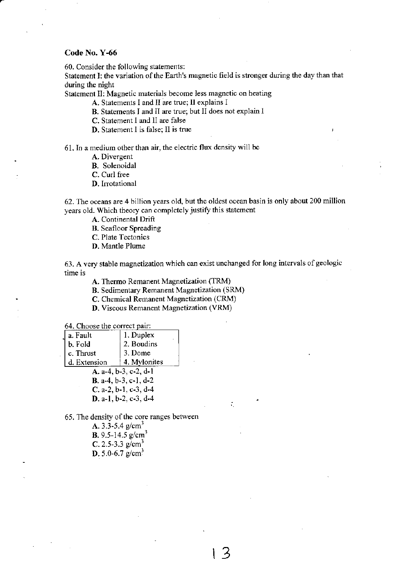60. Consider the following statements:

Statemert I: the variation of the Earth's magnetic field is stronger during the day than that during the night

Statement ll: Magnetic materials become less magnetic on heating

A. Statements I and II are true; ll explains I

B. Statements I and II are true; but II does not explain I

C. Statement I and ll are false

D. Statement I is false: II is true

61. In a medium other than air, the electric flux density will be

A. Divergent

B. Solenoidal

C. Curl free

D. Irrotational

62. The oceans are 4 billion years old, but the oldest ocean basin is only about 200 million years old. Which theory can completely justify this statement

A. Continental Drift

B. Seafloor Spreading

C. Plate Tectonics

D. Mantle Plume

63. A very stable magnetization which can exist unchanged for long intervals of geologic time is

t3

÷.

A. Thermo Remanent Magnetization (TRM)

B. Sedimentary Remanent Magnetization (SRM)

C. Chemical Remanent Magnetization (CRM)

D. Viscous Remanent Magnetization (VRM)

64. Choose the correct pair:

| 1. Duplex<br>a. Fault         |  |  |
|-------------------------------|--|--|
| 2. Boudins<br>b. Fold         |  |  |
| 3. Dome<br>c. Thrust          |  |  |
| 4. Mylonites<br>d. Extension  |  |  |
| A. a-4, b-3, c-2, d-1         |  |  |
| <b>B.</b> a-4, b-3, c-1, d-2  |  |  |
| C. a-2, b-1, c-3, d-4         |  |  |
| <b>D</b> . a-1, b-2, c-3, d-4 |  |  |

65. The density of the core ranges between

A. 3.3-5.4  $g/cm<sup>3</sup>$ B. 9.5-14.5  $g/cm<sup>3</sup>$ C. 2.5-3.3  $g/cm<sup>3</sup>$ D. 5.0-6.7  $g/cm^3$